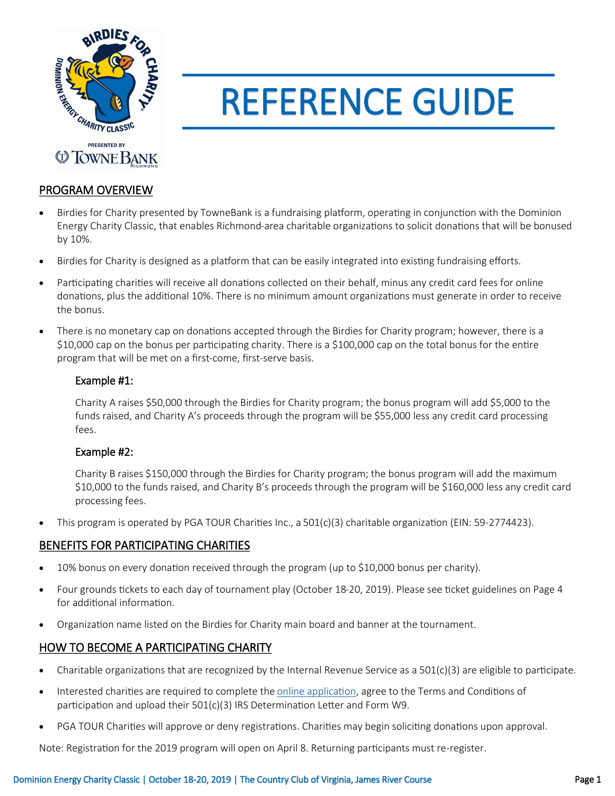

# REFERENCE GUIDE

# PROGRAM OVERVIEW

- Birdies for Charity presented by TowneBank is a fundraising platform, operating in conjunction with the Dominion Energy Charity Classic, that enables Richmond-area charitable organizations to solicit donations that will be bonused by 10%.
- Birdies for Charity is designed as a platform that can be easily integrated into existing fundraising efforts.
- Participating charities will receive all donations collected on their behalf, minus any credit card fees for online donations, plus the additional 10%. There is no minimum amount organizations must generate in order to receive the bonus.
- There is no monetary cap on donations accepted through the Birdies for Charity program; however, there is a \$10,000 cap on the bonus per participating charity. There is a \$100,000 cap on the total bonus for the entire program that will be met on a first-come, first-serve basis.

## Example #1:

Charity A raises \$50,000 through the Birdies for Charity program; the bonus program will add \$5,000 to the funds raised, and Charity A's proceeds through the program will be \$55,000 less any credit card processing fees.

## Example #2:

Charity B raises \$150,000 through the Birdies for Charity program; the bonus program will add the maximum \$10,000 to the funds raised, and Charity B's proceeds through the program will be \$160,000 less any credit card processing fees.

• This program is operated by PGA TOUR Charities Inc., a 501(c)(3) charitable organization (EIN: 59-2774423).

# BENEFITS FOR PARTICIPATING CHARITIES

- 10% bonus on every donation received through the program (up to \$10,000 bonus per charity).
- Four grounds tickets to each day of tournament play (October 18-20, 2019). Please see ticket guidelines on Page 4 for additional information.
- Organization name listed on the Birdies for Charity main board and banner at the tournament.

# HOW TO BECOME A PARTICIPATING CHARITY

- Charitable organizations that are recognized by the Internal Revenue Service as a  $501(c)(3)$  are eligible to participate.
- Interested charities are required to complete the [online application,](https://registrations.pgatourhq.com/forms/bfcdominion/) agree to the Terms and Conditions of participation and upload their  $501(c)(3)$  IRS Determination Letter and Form W9.
- PGA TOUR Charities will approve or deny registrations. Charities may begin soliciting donations upon approval.

Note: Registration for the 2019 program will open on April 8. Returning participants must re-register.

#### Dominion Energy Charity Classic | October 18-20, 2019 | The Country Club of Virginia, James River Course Page 1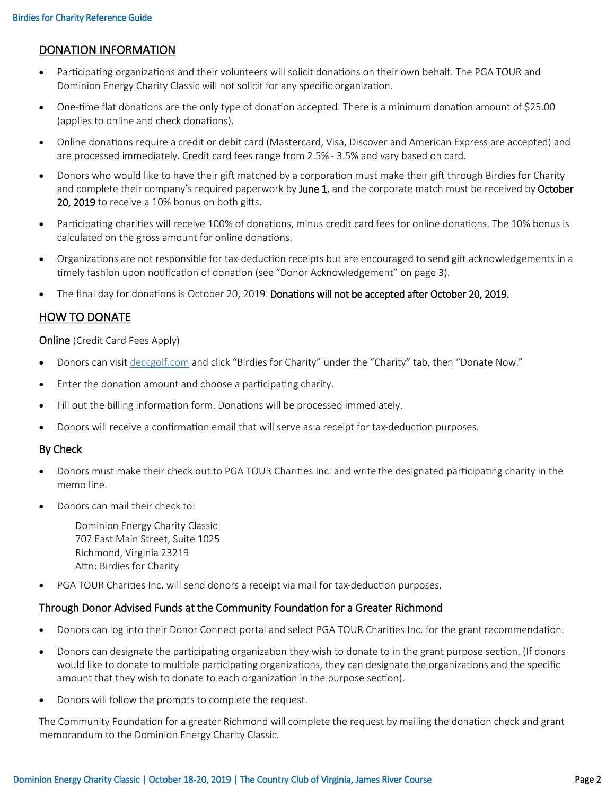# DONATION INFORMATION

- Participating organizations and their volunteers will solicit donations on their own behalf. The PGA TOUR and Dominion Energy Charity Classic will not solicit for any specific organization.
- One-time flat donations are the only type of donation accepted. There is a minimum donation amount of \$25.00 (applies to online and check donations).
- Online donations require a credit or debit card (Mastercard, Visa, Discover and American Express are accepted) and are processed immediately. Credit card fees range from 2.5% - 3.5% and vary based on card.
- Donors who would like to have their gift matched by a corporation must make their gift through Birdies for Charity and complete their company's required paperwork by June 1, and the corporate match must be received by October 20, 2019 to receive a 10% bonus on both gifts.
- Participating charities will receive 100% of donations, minus credit card fees for online donations. The 10% bonus is calculated on the gross amount for online donations.
- Organizations are not responsible for tax-deduction receipts but are encouraged to send gift acknowledgements in a timely fashion upon notification of donation (see "Donor Acknowledgement" on page 3).
- The final day for donations is October 20, 2019. Donations will not be accepted after October 20, 2019.

# HOW TO DONATE

#### **Online** (Credit Card Fees Apply)

- Donors can visit deccgolf.com and click "Birdies for Charity" under the "Charity" tab, then "Donate Now."
- Enter the donation amount and choose a participating charity.
- Fill out the billing information form. Donations will be processed immediately.
- Donors will receive a confirmation email that will serve as a receipt for tax-deduction purposes.

#### By Check

- Donors must make their check out to PGA TOUR Charities Inc. and write the designated participating charity in the memo line.
- Donors can mail their check to:

Dominion Energy Charity Classic 707 East Main Street, Suite 1025 Richmond, Virginia 23219 Attn: Birdies for Charity

• PGA TOUR Charities Inc. will send donors a receipt via mail for tax-deduction purposes.

## Through Donor Advised Funds at the Community Foundation for a Greater Richmond

- Donors can log into their Donor Connect portal and select PGA TOUR Charities Inc. for the grant recommendation.
- Donors can designate the participating organization they wish to donate to in the grant purpose section. (If donors would like to donate to multiple participating organizations, they can designate the organizations and the specific amount that they wish to donate to each organization in the purpose section).
- Donors will follow the prompts to complete the request.

The Community Foundation for a greater Richmond will complete the request by mailing the donation check and grant memorandum to the Dominion Energy Charity Classic.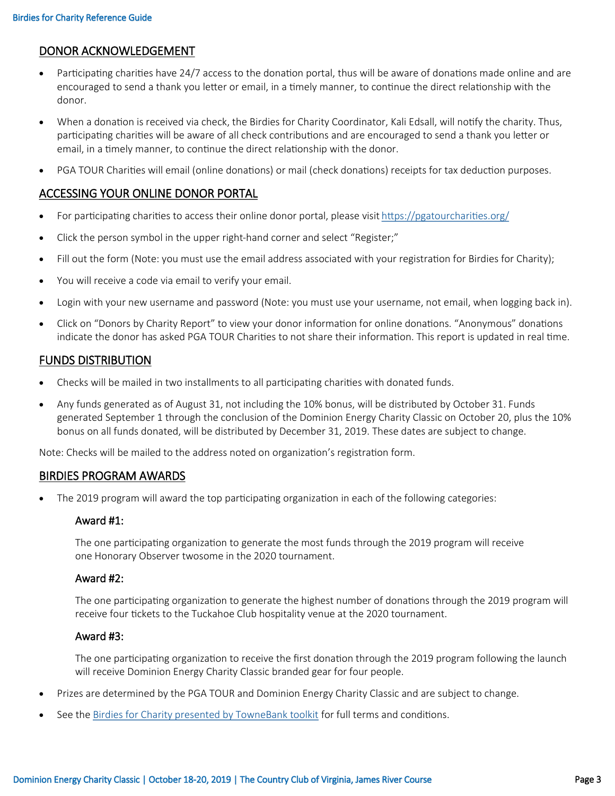## DONOR ACKNOWLEDGEMENT

- Participating charities have 24/7 access to the donation portal, thus will be aware of donations made online and are encouraged to send a thank you letter or email, in a timely manner, to continue the direct relationship with the donor.
- When a donation is received via check, the Birdies for Charity Coordinator, Kali Edsall, will notify the charity. Thus, participating charities will be aware of all check contributions and are encouraged to send a thank you letter or email, in a timely manner, to continue the direct relationship with the donor.
- PGA TOUR Charities will email (online donations) or mail (check donations) receipts for tax deduction purposes.

# ACCESSING YOUR ONLINE DONOR PORTAL

- For participating charities to access their online donor portal, please visit<https://pgatourcharities.org/>
- Click the person symbol in the upper right-hand corner and select "Register;"
- Fill out the form (Note: you must use the email address associated with your registration for Birdies for Charity);
- You will receive a code via email to verify your email.
- Login with your new username and password (Note: you must use your username, not email, when logging back in).
- Click on "Donors by Charity Report" to view your donor information for online donations. "Anonymous" donations indicate the donor has asked PGA TOUR Charities to not share their information. This report is updated in real time.

## FUNDS DISTRIBUTION

- Checks will be mailed in two installments to all participating charities with donated funds.
- Any funds generated as of August 31, not including the 10% bonus, will be distributed by October 31. Funds generated September 1 through the conclusion of the Dominion Energy Charity Classic on October 20, plus the 10% bonus on all funds donated, will be distributed by December 31, 2019. These dates are subject to change.

Note: Checks will be mailed to the address noted on organization's registration form.

#### BIRDIES PROGRAM AWARDS

• The 2019 program will award the top participating organization in each of the following categories:

#### Award #1:

The one participating organization to generate the most funds through the 2019 program will receive one Honorary Observer twosome in the 2020 tournament.

#### Award #2:

The one participating organization to generate the highest number of donations through the 2019 program will receive four tickets to the Tuckahoe Club hospitality venue at the 2020 tournament.

#### Award #3:

The one participating organization to receive the first donation through the 2019 program following the launch will receive Dominion Energy Charity Classic branded gear for four people.

- Prizes are determined by the PGA TOUR and Dominion Energy Charity Classic and are subject to change.
- See the [Birdies for Charity presented by TowneBank toolkit](https://www.dropbox.com/sh/51bblkkk5kv7kus/AAB32hN-3rYf-7ALxW7Umf1ra?dl=0) for full terms and conditions.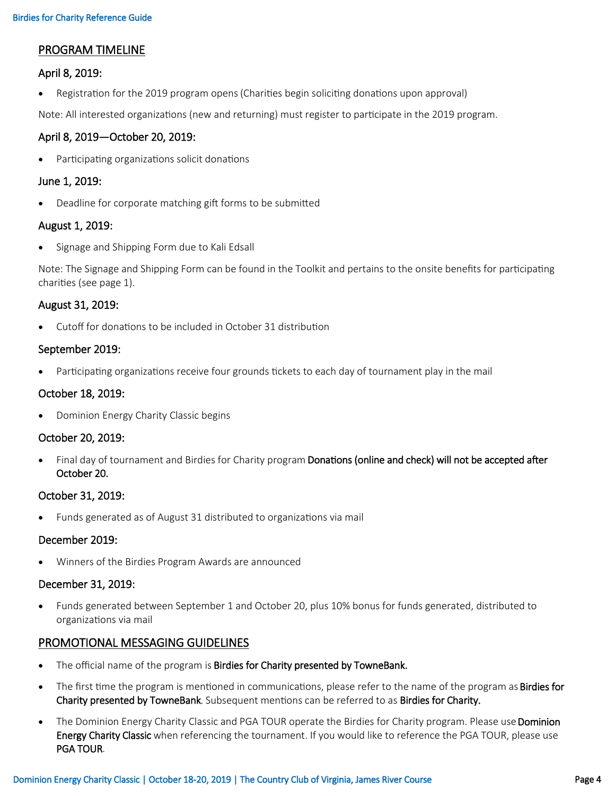# PROGRAM TIMELINE

## April 8, 2019:

• Registration for the 2019 program opens (Charities begin soliciting donations upon approval)

Note: All interested organizations (new and returning) must register to participate in the 2019 program.

#### April 8, 2019—October 20, 2019:

• Participating organizations solicit donations

#### June 1, 2019:

• Deadline for corporate matching gift forms to be submitted

## August 1, 2019:

• Signage and Shipping Form due to Kali Edsall

Note: The Signage and Shipping Form can be found in the Toolkit and pertains to the onsite benefits for participating charities (see page 1).

## August 31, 2019:

• Cutoff for donations to be included in October 31 distribution

## September 2019:

• Participating organizations receive four grounds tickets to each day of tournament play in the mail

## October 18, 2019:

• Dominion Energy Charity Classic begins

#### October 20, 2019:

Final day of tournament and Birdies for Charity program Donations (online and check) will not be accepted after October 20.

#### October 31, 2019:

• Funds generated as of August 31 distributed to organizations via mail

#### December 2019:

• Winners of the Birdies Program Awards are announced

#### December 31, 2019:

• Funds generated between September 1 and October 20, plus 10% bonus for funds generated, distributed to organizations via mail

## PROMOTIONAL MESSAGING GUIDELINES

- The official name of the program is Birdies for Charity presented by TowneBank.
- The first time the program is mentioned in communications, please refer to the name of the program as **Birdies for** Charity presented by TowneBank. Subsequent mentions can be referred to as Birdies for Charity.
- The Dominion Energy Charity Classic and PGA TOUR operate the Birdies for Charity program. Please use Dominion Energy Charity Classic when referencing the tournament. If you would like to reference the PGA TOUR, please use PGA TOUR.